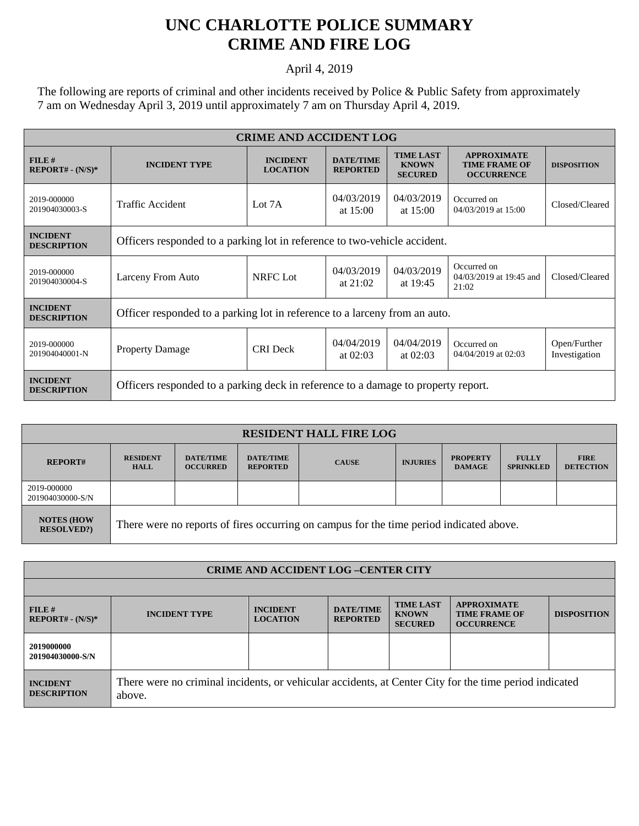## **UNC CHARLOTTE POLICE SUMMARY CRIME AND FIRE LOG**

April 4, 2019

The following are reports of criminal and other incidents received by Police & Public Safety from approximately 7 am on Wednesday April 3, 2019 until approximately 7 am on Thursday April 4, 2019.

| <b>CRIME AND ACCIDENT LOG</b>         |                                                                                   |                                    |                                     |                                                    |                                                                 |                               |  |
|---------------------------------------|-----------------------------------------------------------------------------------|------------------------------------|-------------------------------------|----------------------------------------------------|-----------------------------------------------------------------|-------------------------------|--|
| FILE#<br>$REPORT# - (N/S)*$           | <b>INCIDENT TYPE</b>                                                              | <b>INCIDENT</b><br><b>LOCATION</b> | <b>DATE/TIME</b><br><b>REPORTED</b> | <b>TIME LAST</b><br><b>KNOWN</b><br><b>SECURED</b> | <b>APPROXIMATE</b><br><b>TIME FRAME OF</b><br><b>OCCURRENCE</b> | <b>DISPOSITION</b>            |  |
| 2019-000000<br>201904030003-S         | Traffic Accident                                                                  | Lot 7A                             | 04/03/2019<br>at $15:00$            | 04/03/2019<br>at $15:00$                           | Occurred on<br>04/03/2019 at 15:00                              | Closed/Cleared                |  |
| <b>INCIDENT</b><br><b>DESCRIPTION</b> | Officers responded to a parking lot in reference to two-vehicle accident.         |                                    |                                     |                                                    |                                                                 |                               |  |
| 2019-000000<br>201904030004-S         | Larceny From Auto                                                                 | NRFC Lot                           | 04/03/2019<br>at $21:02$            | 04/03/2019<br>at 19:45                             | Occurred on<br>04/03/2019 at 19:45 and<br>21:02                 | Closed/Cleared                |  |
| <b>INCIDENT</b><br><b>DESCRIPTION</b> | Officer responded to a parking lot in reference to a larceny from an auto.        |                                    |                                     |                                                    |                                                                 |                               |  |
| 2019-000000<br>201904040001-N         | <b>Property Damage</b>                                                            | <b>CRI</b> Deck                    | 04/04/2019<br>at $02:03$            | 04/04/2019<br>at $02:03$                           | Occurred on<br>04/04/2019 at 02:03                              | Open/Further<br>Investigation |  |
| <b>INCIDENT</b><br><b>DESCRIPTION</b> | Officers responded to a parking deck in reference to a damage to property report. |                                    |                                     |                                                    |                                                                 |                               |  |

| <b>RESIDENT HALL FIRE LOG</b>         |                                                                                         |                                     |                                     |              |                 |                                  |                                  |                                 |
|---------------------------------------|-----------------------------------------------------------------------------------------|-------------------------------------|-------------------------------------|--------------|-----------------|----------------------------------|----------------------------------|---------------------------------|
| <b>REPORT#</b>                        | <b>RESIDENT</b><br><b>HALL</b>                                                          | <b>DATE/TIME</b><br><b>OCCURRED</b> | <b>DATE/TIME</b><br><b>REPORTED</b> | <b>CAUSE</b> | <b>INJURIES</b> | <b>PROPERTY</b><br><b>DAMAGE</b> | <b>FULLY</b><br><b>SPRINKLED</b> | <b>FIRE</b><br><b>DETECTION</b> |
| 2019-000000<br>201904030000-S/N       |                                                                                         |                                     |                                     |              |                 |                                  |                                  |                                 |
| <b>NOTES (HOW</b><br><b>RESOLVED?</b> | There were no reports of fires occurring on campus for the time period indicated above. |                                     |                                     |              |                 |                                  |                                  |                                 |

| <b>CRIME AND ACCIDENT LOG-CENTER CITY</b> |                                                                                                                  |                                    |                                     |                                                    |                                                                 |                    |  |
|-------------------------------------------|------------------------------------------------------------------------------------------------------------------|------------------------------------|-------------------------------------|----------------------------------------------------|-----------------------------------------------------------------|--------------------|--|
|                                           |                                                                                                                  |                                    |                                     |                                                    |                                                                 |                    |  |
| FILE#<br>$REPORT# - (N/S)*$               | <b>INCIDENT TYPE</b>                                                                                             | <b>INCIDENT</b><br><b>LOCATION</b> | <b>DATE/TIME</b><br><b>REPORTED</b> | <b>TIME LAST</b><br><b>KNOWN</b><br><b>SECURED</b> | <b>APPROXIMATE</b><br><b>TIME FRAME OF</b><br><b>OCCURRENCE</b> | <b>DISPOSITION</b> |  |
| 2019000000<br>201904030000-S/N            |                                                                                                                  |                                    |                                     |                                                    |                                                                 |                    |  |
| <b>INCIDENT</b><br><b>DESCRIPTION</b>     | There were no criminal incidents, or vehicular accidents, at Center City for the time period indicated<br>above. |                                    |                                     |                                                    |                                                                 |                    |  |